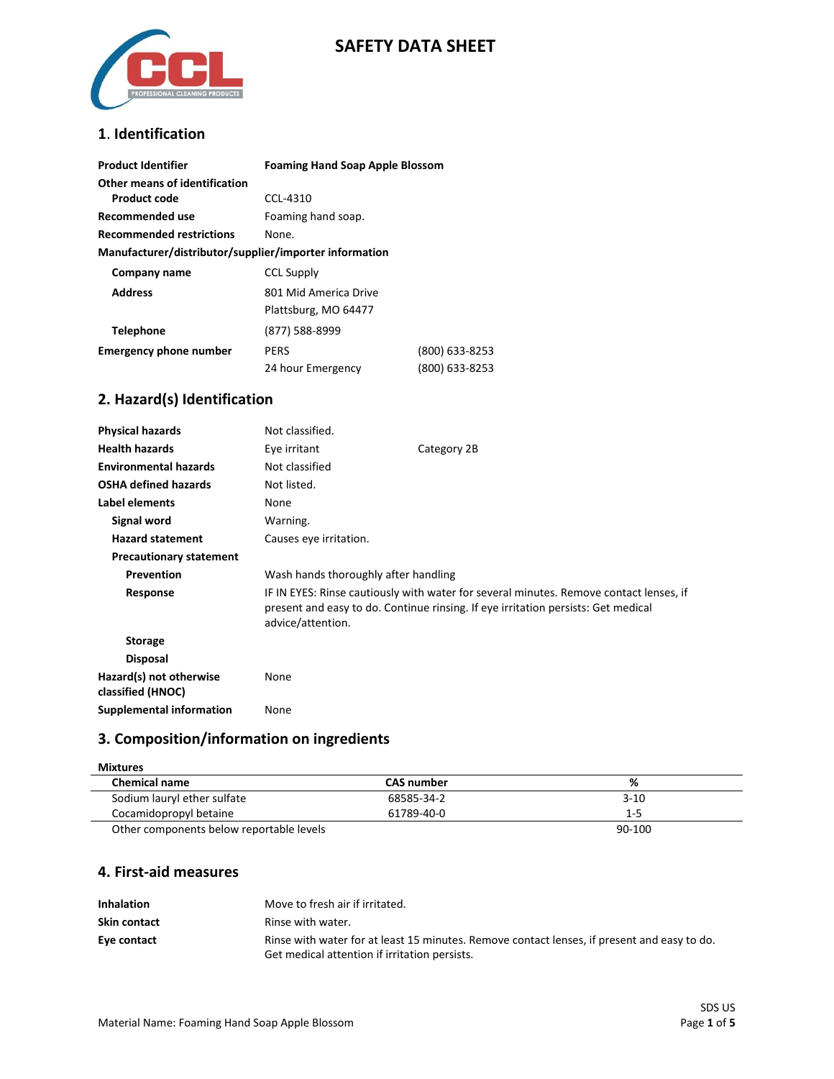

## **SAFETY DATA SHEET**

## **1**. **Identification**

| <b>Product Identifier</b>                              | <b>Foaming Hand Soap Apple Blossom</b> |                |
|--------------------------------------------------------|----------------------------------------|----------------|
| Other means of identification<br><b>Product code</b>   | CCL-4310                               |                |
|                                                        |                                        |                |
| Recommended use                                        | Foaming hand soap.                     |                |
| <b>Recommended restrictions</b>                        | None.                                  |                |
| Manufacturer/distributor/supplier/importer information |                                        |                |
| Company name                                           | <b>CCL Supply</b>                      |                |
| <b>Address</b>                                         | 801 Mid America Drive                  |                |
|                                                        | Plattsburg, MO 64477                   |                |
| <b>Telephone</b>                                       | (877) 588-8999                         |                |
| <b>Emergency phone number</b>                          | PERS                                   | (800) 633-8253 |
|                                                        | 24 hour Emergency                      | (800) 633-8253 |

## **2. Hazard(s) Identification**

| <b>Physical hazards</b>                      | Not classified.                                                                                                                                                                                  |             |
|----------------------------------------------|--------------------------------------------------------------------------------------------------------------------------------------------------------------------------------------------------|-------------|
| <b>Health hazards</b>                        | Eye irritant                                                                                                                                                                                     | Category 2B |
| <b>Environmental hazards</b>                 | Not classified                                                                                                                                                                                   |             |
| <b>OSHA defined hazards</b>                  | Not listed.                                                                                                                                                                                      |             |
| Label elements                               | None                                                                                                                                                                                             |             |
| <b>Signal word</b>                           | Warning.                                                                                                                                                                                         |             |
| <b>Hazard statement</b>                      | Causes eye irritation.                                                                                                                                                                           |             |
| <b>Precautionary statement</b>               |                                                                                                                                                                                                  |             |
| Prevention                                   | Wash hands thoroughly after handling                                                                                                                                                             |             |
| Response                                     | IF IN EYES: Rinse cautiously with water for several minutes. Remove contact lenses, if<br>present and easy to do. Continue rinsing. If eye irritation persists: Get medical<br>advice/attention. |             |
| <b>Storage</b>                               |                                                                                                                                                                                                  |             |
| <b>Disposal</b>                              |                                                                                                                                                                                                  |             |
| Hazard(s) not otherwise<br>classified (HNOC) | None                                                                                                                                                                                             |             |
| Supplemental information                     | None                                                                                                                                                                                             |             |

# **3. Composition/information on ingredients**

| <b>Mixtures</b>             |                   |     |
|-----------------------------|-------------------|-----|
| <b>Chemical name</b>        | <b>CAS number</b> | %   |
| Sodium lauryl ether sulfate | 68585-34-2        | 3-1 |

| Chemical name                            | <b>CAS NUMBER</b> |          |
|------------------------------------------|-------------------|----------|
| Sodium lauryl ether sulfate              | 68585-34-2        | $3 - 10$ |
| Cocamidopropyl betaine                   | 61789-40-0        | 1-5      |
| Other components below reportable levels |                   | 90-100   |

### **4. First-aid measures**

| <b>Inhalation</b> | Move to fresh air if irritated.                                                                                                              |
|-------------------|----------------------------------------------------------------------------------------------------------------------------------------------|
| Skin contact      | Rinse with water.                                                                                                                            |
| Eye contact       | Rinse with water for at least 15 minutes. Remove contact lenses, if present and easy to do.<br>Get medical attention if irritation persists. |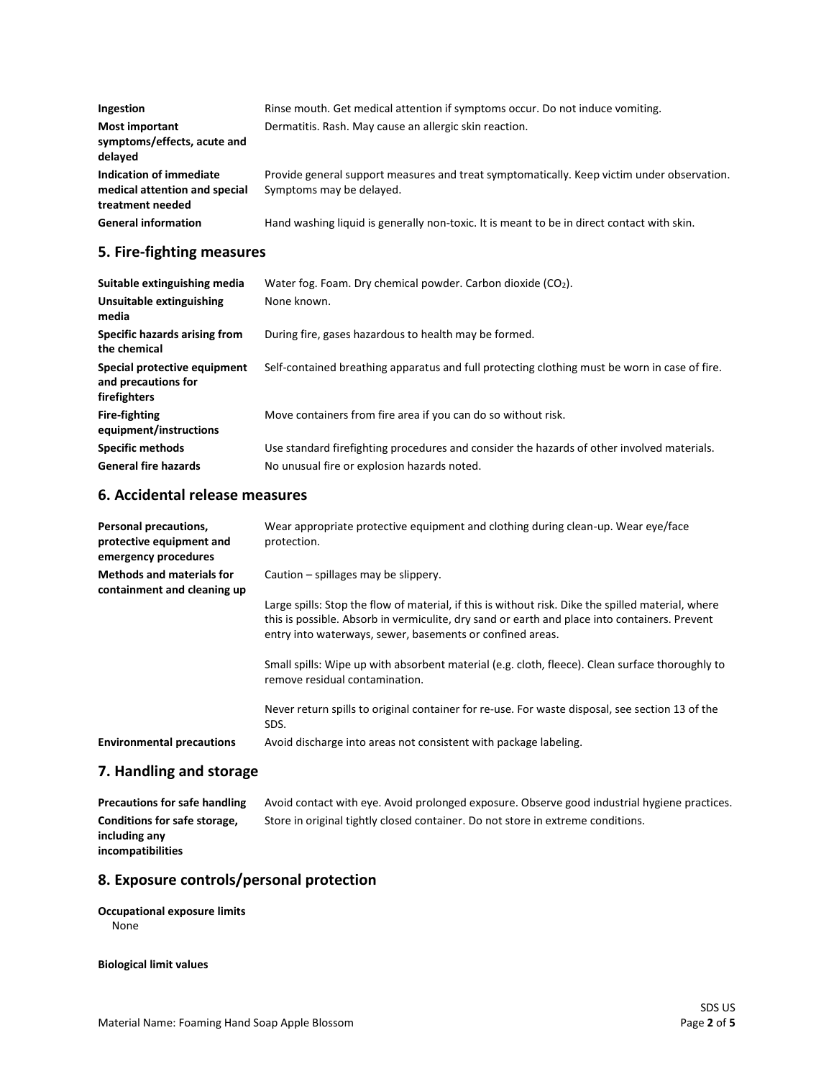| Ingestion                                                                    | Rinse mouth. Get medical attention if symptoms occur. Do not induce vomiting.                                          |
|------------------------------------------------------------------------------|------------------------------------------------------------------------------------------------------------------------|
| <b>Most important</b><br>symptoms/effects, acute and<br>delayed              | Dermatitis. Rash. May cause an allergic skin reaction.                                                                 |
| Indication of immediate<br>medical attention and special<br>treatment needed | Provide general support measures and treat symptomatically. Keep victim under observation.<br>Symptoms may be delayed. |
| <b>General information</b>                                                   | Hand washing liquid is generally non-toxic. It is meant to be in direct contact with skin.                             |

# **5. Fire-fighting measures**

| Suitable extinguishing media<br>Unsuitable extinguishing<br>media   | Water fog. Foam. Dry chemical powder. Carbon dioxide $(CO2)$ .<br>None known.                 |
|---------------------------------------------------------------------|-----------------------------------------------------------------------------------------------|
| Specific hazards arising from<br>the chemical                       | During fire, gases hazardous to health may be formed.                                         |
| Special protective equipment<br>and precautions for<br>firefighters | Self-contained breathing apparatus and full protecting clothing must be worn in case of fire. |
| <b>Fire-fighting</b><br>equipment/instructions                      | Move containers from fire area if you can do so without risk.                                 |
| <b>Specific methods</b>                                             | Use standard firefighting procedures and consider the hazards of other involved materials.    |
| <b>General fire hazards</b>                                         | No unusual fire or explosion hazards noted.                                                   |

## **6. Accidental release measures**

| Personal precautions,<br>protective equipment and<br>emergency procedures | Wear appropriate protective equipment and clothing during clean-up. Wear eye/face<br>protection.                                                                                                                                                                 |
|---------------------------------------------------------------------------|------------------------------------------------------------------------------------------------------------------------------------------------------------------------------------------------------------------------------------------------------------------|
| <b>Methods and materials for</b><br>containment and cleaning up           | Caution – spillages may be slippery.                                                                                                                                                                                                                             |
|                                                                           | Large spills: Stop the flow of material, if this is without risk. Dike the spilled material, where<br>this is possible. Absorb in vermiculite, dry sand or earth and place into containers. Prevent<br>entry into waterways, sewer, basements or confined areas. |
|                                                                           | Small spills: Wipe up with absorbent material (e.g. cloth, fleece). Clean surface thoroughly to<br>remove residual contamination.                                                                                                                                |
|                                                                           | Never return spills to original container for re-use. For waste disposal, see section 13 of the<br>SDS.                                                                                                                                                          |
| <b>Environmental precautions</b>                                          | Avoid discharge into areas not consistent with package labeling.                                                                                                                                                                                                 |

## **7. Handling and storage**

| Precautions for safe handling | Avoid contact with eye. Avoid prolonged exposure. Observe good industrial hygiene practices. |
|-------------------------------|----------------------------------------------------------------------------------------------|
| Conditions for safe storage,  | Store in original tightly closed container. Do not store in extreme conditions.              |
| including any                 |                                                                                              |
| incompatibilities             |                                                                                              |

# **8. Exposure controls/personal protection**

#### **Occupational exposure limits** None

**Biological limit values**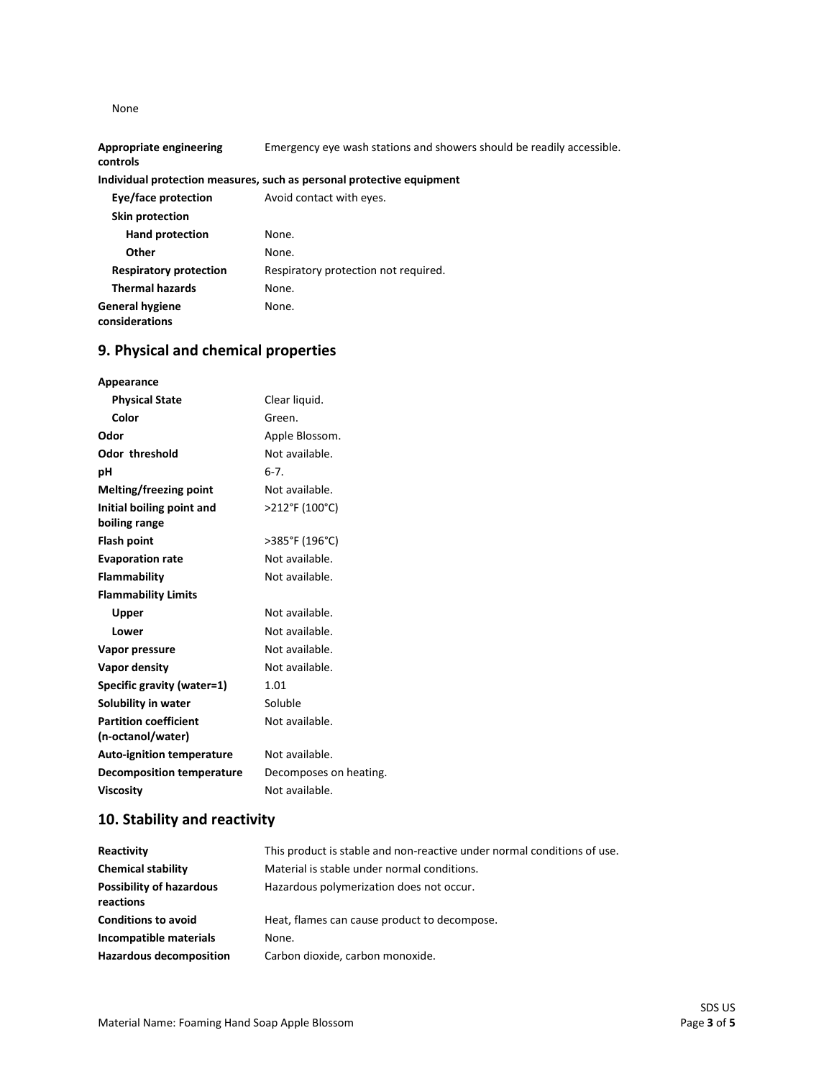None

**General hygiene considerations**

| <b>Appropriate engineering</b><br>controls | Emergency eye wash stations and showers should be readily accessible. |
|--------------------------------------------|-----------------------------------------------------------------------|
|                                            | Individual protection measures, such as personal protective equipment |
| Eye/face protection                        | Avoid contact with eyes.                                              |
| Skin protection                            |                                                                       |
| <b>Hand protection</b>                     | None.                                                                 |
| Other                                      | None.                                                                 |
| <b>Respiratory protection</b>              | Respiratory protection not required.                                  |
| <b>Thermal hazards</b>                     | None.                                                                 |

## **9. Physical and chemical properties**

None.

| Appearance                                 |                        |
|--------------------------------------------|------------------------|
| <b>Physical State</b>                      | Clear liquid.          |
| Color                                      | Green.                 |
| Odor                                       | Apple Blossom.         |
| <b>Odor threshold</b>                      | Not available.         |
| рH                                         | $6 - 7$ .              |
| Melting/freezing point                     | Not available.         |
| Initial boiling point and<br>boiling range | >212°F (100°C)         |
| <b>Flash point</b>                         | >385°F (196°C)         |
| <b>Evaporation rate</b>                    | Not available.         |
| <b>Flammability</b>                        | Not available.         |
| <b>Flammability Limits</b>                 |                        |
| Upper                                      | Not available.         |
| Lower                                      | Not available.         |
| Vapor pressure                             | Not available.         |
| Vapor density                              | Not available.         |
| Specific gravity (water=1)                 | 1.01                   |
| Solubility in water                        | Soluble                |
| <b>Partition coefficient</b>               | Not available.         |
| (n-octanol/water)                          |                        |
| <b>Auto-ignition temperature</b>           | Not available.         |
| <b>Decomposition temperature</b>           | Decomposes on heating. |
| Viscosity                                  | Not available.         |

# **10. Stability and reactivity**

| Reactivity                                   | This product is stable and non-reactive under normal conditions of use. |
|----------------------------------------------|-------------------------------------------------------------------------|
| <b>Chemical stability</b>                    | Material is stable under normal conditions.                             |
| <b>Possibility of hazardous</b><br>reactions | Hazardous polymerization does not occur.                                |
| <b>Conditions to avoid</b>                   | Heat, flames can cause product to decompose.                            |
| Incompatible materials                       | None.                                                                   |
| <b>Hazardous decomposition</b>               | Carbon dioxide, carbon monoxide.                                        |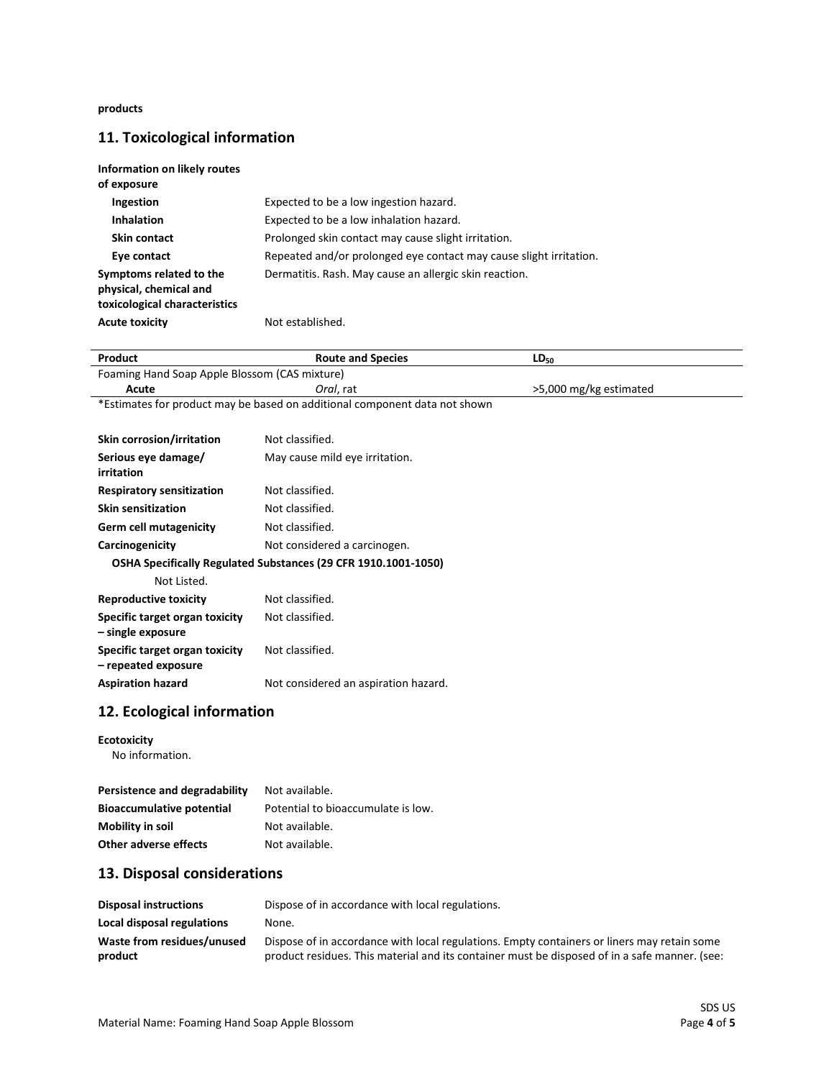**products**

# **11. Toxicological information**

| Information on likely routes<br>of exposure                                        |                                                                    |
|------------------------------------------------------------------------------------|--------------------------------------------------------------------|
| <b>Ingestion</b>                                                                   | Expected to be a low ingestion hazard.                             |
| <b>Inhalation</b>                                                                  | Expected to be a low inhalation hazard.                            |
| Skin contact                                                                       | Prolonged skin contact may cause slight irritation.                |
| Eye contact                                                                        | Repeated and/or prolonged eye contact may cause slight irritation. |
| Symptoms related to the<br>physical, chemical and<br>toxicological characteristics | Dermatitis. Rash. May cause an allergic skin reaction.             |
| <b>Acute toxicity</b>                                                              | Not established.                                                   |

| Product                                                                    | <b>Route and Species</b>                                                                                                                                                                     | $LD_{50}$              |  |
|----------------------------------------------------------------------------|----------------------------------------------------------------------------------------------------------------------------------------------------------------------------------------------|------------------------|--|
| Foaming Hand Soap Apple Blossom (CAS mixture)                              |                                                                                                                                                                                              |                        |  |
| Acute                                                                      | <i>Oral</i> , rat                                                                                                                                                                            | >5,000 mg/kg estimated |  |
| *Estimates for product may be based on additional component data not shown |                                                                                                                                                                                              |                        |  |
|                                                                            |                                                                                                                                                                                              |                        |  |
| Skin corrosion/irritation                                                  | Not classified.                                                                                                                                                                              |                        |  |
| Serious eye damage/<br>irritation                                          | May cause mild eye irritation.                                                                                                                                                               |                        |  |
| <b>Respiratory sensitization</b>                                           | Not classified.                                                                                                                                                                              |                        |  |
| <b>Skin sensitization</b>                                                  | Not classified.                                                                                                                                                                              |                        |  |
| <b>Germ cell mutagenicity</b>                                              | Not classified.                                                                                                                                                                              |                        |  |
| Carcinogenicity                                                            | Not considered a carcinogen.                                                                                                                                                                 |                        |  |
| OSHA Specifically Regulated Substances (29 CFR 1910.1001-1050)             |                                                                                                                                                                                              |                        |  |
| Not Listed.                                                                |                                                                                                                                                                                              |                        |  |
| <b>Reproductive toxicity</b>                                               | Not classified.                                                                                                                                                                              |                        |  |
| Specific target organ toxicity<br>- single exposure                        | Not classified.                                                                                                                                                                              |                        |  |
| Specific target organ toxicity<br>- repeated exposure                      | Not classified.                                                                                                                                                                              |                        |  |
| <b>Aspiration hazard</b>                                                   | Not considered an aspiration hazard.                                                                                                                                                         |                        |  |
| 12. Ecological information                                                 |                                                                                                                                                                                              |                        |  |
| <b>Ecotoxicity</b><br>No information.                                      |                                                                                                                                                                                              |                        |  |
| Persistence and degradability                                              | Not available.                                                                                                                                                                               |                        |  |
| <b>Bioaccumulative potential</b>                                           | Potential to bioaccumulate is low.                                                                                                                                                           |                        |  |
| <b>Mobility in soil</b>                                                    | Not available.                                                                                                                                                                               |                        |  |
| <b>Other adverse effects</b>                                               | Not available.                                                                                                                                                                               |                        |  |
| 13. Disposal considerations                                                |                                                                                                                                                                                              |                        |  |
| <b>Disposal instructions</b>                                               | Dispose of in accordance with local regulations.                                                                                                                                             |                        |  |
| Local disposal regulations                                                 | None.                                                                                                                                                                                        |                        |  |
| Waste from residues/unused<br>product                                      | Dispose of in accordance with local regulations. Empty containers or liners may retain some<br>product residues. This material and its container must be disposed of in a safe manner. (see: |                        |  |